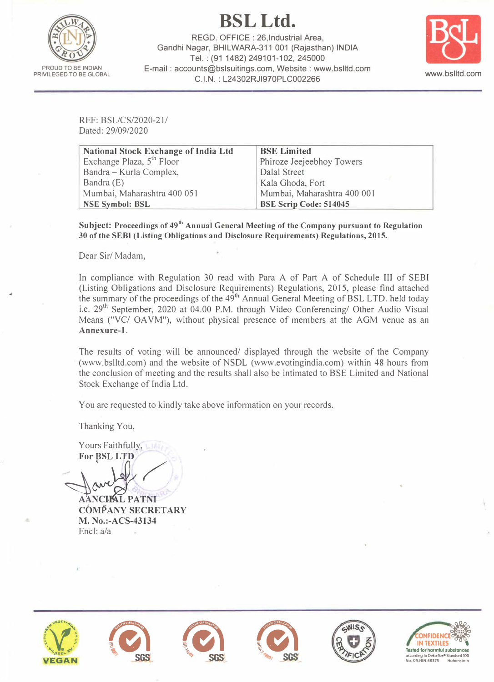**BSLLtd.** 



REGO. OFFICE : 26,lndustrial Area, Gandhi Nagar, BHILWARA-311 001 (Rajasthan) INDIA Tel.: (91 1482) 249101-102, 245000 E-mail : accounts@bslsuitings.com, Website : www.bslltd.com C.I.N. : L24302RJl970PLC002266 www.bslltd.com



REF: BSL/CS/2020-21/ Dated: 29/09/2020

| <b>National Stock Exchange of India Ltd</b> | <b>BSE Limited</b>            |  |
|---------------------------------------------|-------------------------------|--|
| Exchange Plaza, 5 <sup>th</sup> Floor       | Phiroze Jeejeebhoy Towers     |  |
| Bandra - Kurla Complex,                     | Dalal Street                  |  |
| Bandra (E)                                  | Kala Ghoda, Fort              |  |
| Mumbai, Maharashtra 400 051                 | Mumbai, Maharashtra 400 001   |  |
| <b>NSE Symbol: BSL</b>                      | <b>BSE Scrip Code: 514045</b> |  |

**Subject: Proceedings of 49th Annual General Meeting of the Company pursuant to Regulation 30 of the SEBI (Listing Obligations and Disclosure Requirements) Regulations, 2015.** 

Dear Sir/ Madam,

In compliance with Regulation 30 read with Para A of Part A of Schedule III of SEBI (Listing Obligations and Disclosure Requirements) Regulations, 2015, please find attached the summary of the proceedings of the 49<sup>th</sup> Annual General Meeting of BSL LTD. held today i.e. 29<sup>th</sup> September, 2020 at 04.00 P.M. through Video Conferencing/ Other Audio Visual Means ("VC/ OA VM"), without physical presence of members at the AGM venue as an **Annexure-1.** 

The results of voting will be announced/ displayed through the website of the Company (www.bslltd.com) and the website of NSDL (www.evotingindia.com) within 48 hours from the conclusion of meeting and the results shall also be intimated to BSE Limited and National Stock Exchange of India Ltd.

You are requested to kindly take above information on your records.

Thanking You,

Yours Faithfully, For **BSL** LTD

**AANCHAL PATNI COMPANY SECRETARY M. No.:-ACS-43134** Encl: a/a











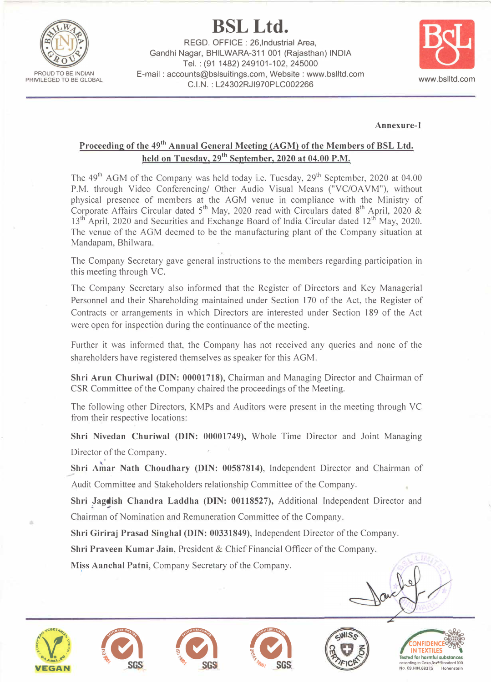

**BSLLtd.** 

REGO. OFFICE : 26,lndustrial Area, Gandhi Nagar, BHILWARA-311 001 (Rajasthan) INDIA Tel.: (91 1482) 249101-102, 245000 E-mail : accounts@bslsuitings.com, Website : www.bslltd.com C.I.N.: L24302RJl970PLC002266 www.bslltd.com



## **Annexure-1**

## Proceeding of the 49<sup>th</sup> Annual General Meeting (AGM) of the Members of BSL Ltd. **held on Tuesday, 29th September, 2020 at 04.00 P.M.**

The  $49<sup>th</sup>$  AGM of the Company was held today i.e. Tuesday,  $29<sup>th</sup>$  September, 2020 at 04.00 P.M. through Video Conferencing/ Other Audio Visual Means ("VC/OAVM"), without physical presence of members at the AGM venue in compliance with the Ministry of Corporate Affairs Circular dated  $5<sup>th</sup>$  May, 2020 read with Circulars dated  $8<sup>th</sup>$  April, 2020 &  $13<sup>th</sup>$  April, 2020 and Securities and Exchange Board of India Circular dated  $12<sup>th</sup>$  May, 2020. The venue of the AGM deemed to be the manufacturing plant of the Company situation at Mandapam, Bhilwara.

The Company Secretary gave general instructions to the members regarding participation in this meeting through VC.

The Company Secretary also informed that the Register of Directors and Key Managerial Personnel and their Shareholding maintained under Section 170 of the Act, the Register of Contracts or arrangements in which Directors are interested under Section 189 of the Act were open for inspection during the continuance of the meeting.

Further it was informed that, the Company has not received any queries and none of the shareholders have registered themselves as speaker for this AGM.

**Shri Arun Churiwal (DIN: 00001718),** Chairman and Managing Director and Chairman of CSR Committee of the Company chaired the proceedings of the Meeting.

The following other Directors, KMPs and Auditors were present in the meeting through VC from their respective locations:

**Shri Nivedan Churiwal (DIN: 00001749),** Whole Time Director and Joint Managing Director of the Company.

**Shri Amar Nath Choudhary (DIN: 00587814), Independent Director and Chairman of** Audit Committee and Stakeholders relationship Committee of the Company.

Shri Jagdish Chandra Laddha (DIN: 00118527), Additional Independent Director and Chairman of Nomination and Remuneration Committee of the Company.

**Shri Giriraj Prasad Singha) (DIN: 00331849),** Independent Director of the Company.

**Shri Praveen Kumar Jain,** President & Chief Financial Officer of the Company.

**Miss Aanchal Patni,** Company Secretary of the Company. I











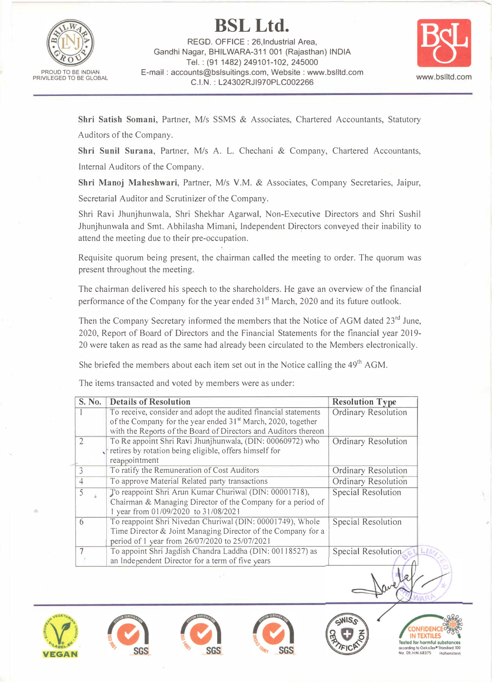

**BSLLtd.**  REGO. OFFICE : 26,lndustrial Area, Gandhi Nagar, BHILWARA-311 001 (Rajasthan) INDIA Tel.: (91 1482) 249101-102, 245000 E-mail : accounts@bslsuitings.com, Website : www.bslltd.com **C.I.N.:** L24302RJl970PLC002266 www.bslltd.com



**Shri Satish Somani,** Partner, *Mis* SSMS & Associates, Chartered Accountants, Statutory Auditors of the Company.

**Shri Sunil Surana,** Partner, *Mis* A. L. Chechani & Company, Chartered Accountants, Internal Auditors of the Company.

**Shri Manoj Maheshwari,** Partner, *Mis* V.M. & Associates, Company Secretaries, Jaipur,

Secretarial Auditor and Scrutinizer of the Company.

Shri Ravi Jhunjhunwala, Shri Shekhar Agarwal, Non-Executive Directors and Shri Sushi! Jhunjhunwala and Smt. Abhilasha Mimani, Independent Directors conveyed their inability to attend the meeting due to their pre-occupation.

Requisite quorum being present, the chairman called the meeting to order. The quorum was present throughout the meeting.

The chairman delivered his speech to the shareholders. He gave an overview of the financial performance of the Company for the year ended 31<sup>st</sup> March, 2020 and its future outlook.

Then the Company Secretary informed the members that the Notice of AGM dated 23<sup>rd</sup> June, 2020, Report of Board of Directors and the Financial Statements for the financial year 2019- 20 were taken as read as the same had already been circulated to the Members electronically.

She briefed the members about each item set out in the Notice calling the  $49<sup>th</sup> AGM$ .

The items transacted and voted by members were as under:

| S. No.                   | <b>Details of Resolution</b>                                                                                                                                                | <b>Resolution Type</b>     |
|--------------------------|-----------------------------------------------------------------------------------------------------------------------------------------------------------------------------|----------------------------|
|                          | To receive, consider and adopt the audited financial statements                                                                                                             | <b>Ordinary Resolution</b> |
|                          | of the Company for the year ended 31 <sup>st</sup> March, 2020, together<br>with the Reports of the Board of Directors and Auditors thereon                                 |                            |
| $\mathcal{L}$            | To Re appoint Shri Ravi Jhunjhunwala, (DIN: 00060972) who<br>retires by rotation being eligible, offers himself for<br>reappointment                                        | <b>Ordinary Resolution</b> |
| $\overline{\mathcal{L}}$ | To ratify the Remuneration of Cost Auditors                                                                                                                                 | Ordinary Resolution        |
|                          | To approve Material Related party transactions                                                                                                                              | <b>Ordinary Resolution</b> |
| 5                        | To reappoint Shri Arun Kumar Churiwal (DIN: 00001718),<br>Chairman & Managing Director of the Company for a period of<br>1 year from 01/09/2020 to 31/08/2021               | <b>Special Resolution</b>  |
| 6                        | To reappoint Shri Nivedan Churiwal (DIN: 00001749), Whole<br>Time Director & Joint Managing Director of the Company for a<br>period of 1 year from 26/07/2020 to 25/07/2021 | Special Resolution         |
|                          | To appoint Shri Jagdish Chandra Laddha (DIN: 00118527) as<br>an Independent Director for a term of five years                                                               | Special Resolution<br>上方   |